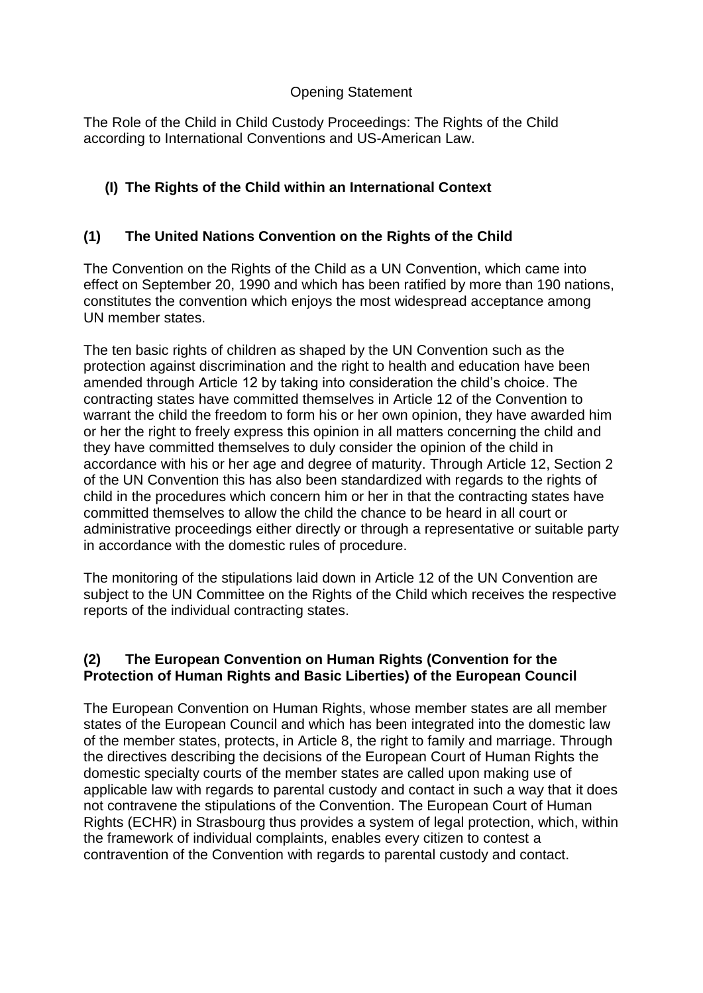## Opening Statement

The Role of the Child in Child Custody Proceedings: The Rights of the Child according to International Conventions and US-American Law.

# **(I) The Rights of the Child within an International Context**

## **(1) The United Nations Convention on the Rights of the Child**

The Convention on the Rights of the Child as a UN Convention, which came into effect on September 20, 1990 and which has been ratified by more than 190 nations, constitutes the convention which enjoys the most widespread acceptance among UN member states.

The ten basic rights of children as shaped by the UN Convention such as the protection against discrimination and the right to health and education have been amended through Article 12 by taking into consideration the child's choice. The contracting states have committed themselves in Article 12 of the Convention to warrant the child the freedom to form his or her own opinion, they have awarded him or her the right to freely express this opinion in all matters concerning the child and they have committed themselves to duly consider the opinion of the child in accordance with his or her age and degree of maturity. Through Article 12, Section 2 of the UN Convention this has also been standardized with regards to the rights of child in the procedures which concern him or her in that the contracting states have committed themselves to allow the child the chance to be heard in all court or administrative proceedings either directly or through a representative or suitable party in accordance with the domestic rules of procedure.

The monitoring of the stipulations laid down in Article 12 of the UN Convention are subject to the UN Committee on the Rights of the Child which receives the respective reports of the individual contracting states.

## **(2) The European Convention on Human Rights (Convention for the Protection of Human Rights and Basic Liberties) of the European Council**

The European Convention on Human Rights, whose member states are all member states of the European Council and which has been integrated into the domestic law of the member states, protects, in Article 8, the right to family and marriage. Through the directives describing the decisions of the European Court of Human Rights the domestic specialty courts of the member states are called upon making use of applicable law with regards to parental custody and contact in such a way that it does not contravene the stipulations of the Convention. The European Court of Human Rights (ECHR) in Strasbourg thus provides a system of legal protection, which, within the framework of individual complaints, enables every citizen to contest a contravention of the Convention with regards to parental custody and contact.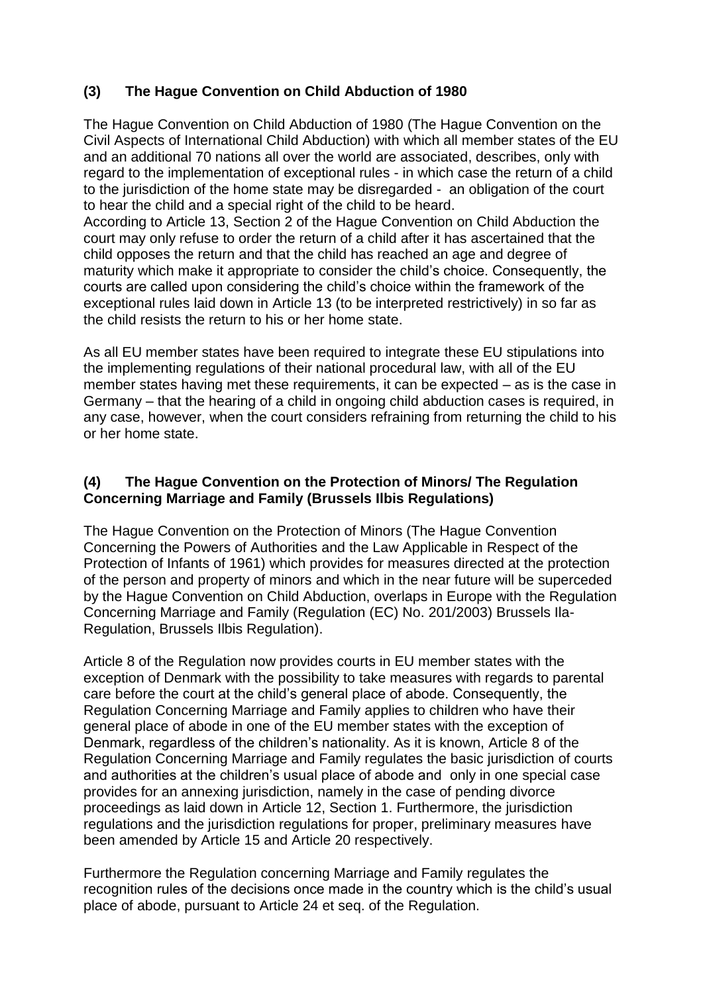# **(3) The Hague Convention on Child Abduction of 1980**

The Hague Convention on Child Abduction of 1980 (The Hague Convention on the Civil Aspects of International Child Abduction) with which all member states of the EU and an additional 70 nations all over the world are associated, describes, only with regard to the implementation of exceptional rules - in which case the return of a child to the jurisdiction of the home state may be disregarded - an obligation of the court to hear the child and a special right of the child to be heard. According to Article 13, Section 2 of the Hague Convention on Child Abduction the

court may only refuse to order the return of a child after it has ascertained that the child opposes the return and that the child has reached an age and degree of maturity which make it appropriate to consider the child's choice. Consequently, the courts are called upon considering the child's choice within the framework of the exceptional rules laid down in Article 13 (to be interpreted restrictively) in so far as the child resists the return to his or her home state.

As all EU member states have been required to integrate these EU stipulations into the implementing regulations of their national procedural law, with all of the EU member states having met these requirements, it can be expected – as is the case in Germany – that the hearing of a child in ongoing child abduction cases is required, in any case, however, when the court considers refraining from returning the child to his or her home state.

#### **(4) The Hague Convention on the Protection of Minors/ The Regulation Concerning Marriage and Family (Brussels Ilbis Regulations)**

The Hague Convention on the Protection of Minors (The Hague Convention Concerning the Powers of Authorities and the Law Applicable in Respect of the Protection of Infants of 1961) which provides for measures directed at the protection of the person and property of minors and which in the near future will be superceded by the Hague Convention on Child Abduction, overlaps in Europe with the Regulation Concerning Marriage and Family (Regulation (EC) No. 201/2003) Brussels Ila-Regulation, Brussels Ilbis Regulation).

Article 8 of the Regulation now provides courts in EU member states with the exception of Denmark with the possibility to take measures with regards to parental care before the court at the child's general place of abode. Consequently, the Regulation Concerning Marriage and Family applies to children who have their general place of abode in one of the EU member states with the exception of Denmark, regardless of the children's nationality. As it is known, Article 8 of the Regulation Concerning Marriage and Family regulates the basic jurisdiction of courts and authorities at the children's usual place of abode and only in one special case provides for an annexing jurisdiction, namely in the case of pending divorce proceedings as laid down in Article 12, Section 1. Furthermore, the jurisdiction regulations and the jurisdiction regulations for proper, preliminary measures have been amended by Article 15 and Article 20 respectively.

Furthermore the Regulation concerning Marriage and Family regulates the recognition rules of the decisions once made in the country which is the child's usual place of abode, pursuant to Article 24 et seq. of the Regulation.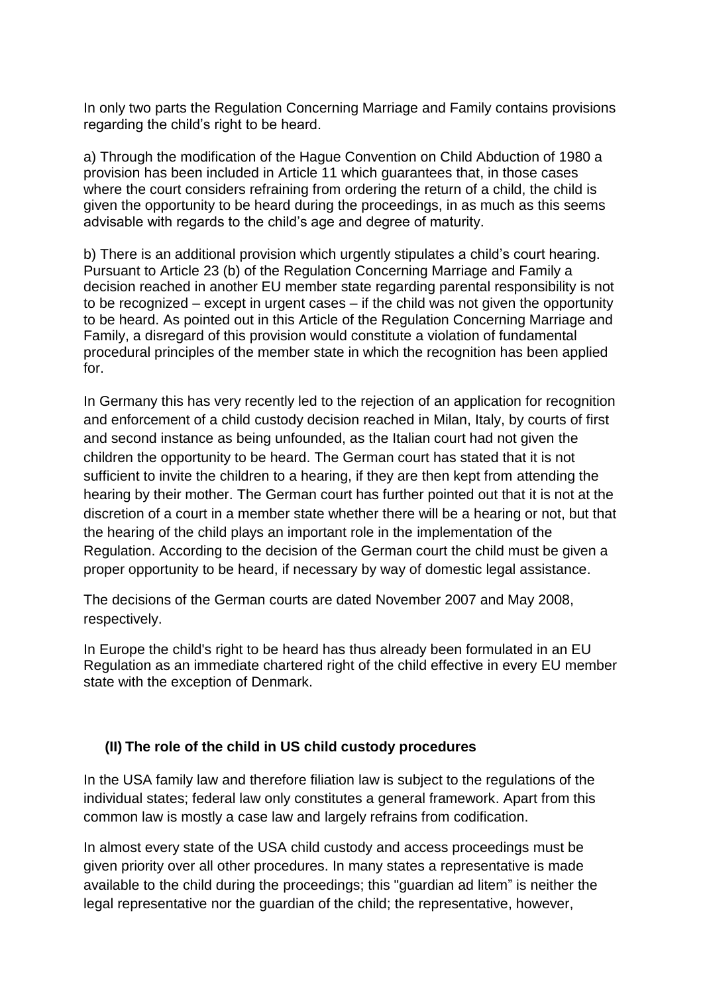In only two parts the Regulation Concerning Marriage and Family contains provisions regarding the child's right to be heard.

a) Through the modification of the Hague Convention on Child Abduction of 1980 a provision has been included in Article 11 which guarantees that, in those cases where the court considers refraining from ordering the return of a child, the child is given the opportunity to be heard during the proceedings, in as much as this seems advisable with regards to the child's age and degree of maturity.

b) There is an additional provision which urgently stipulates a child's court hearing. Pursuant to Article 23 (b) of the Regulation Concerning Marriage and Family a decision reached in another EU member state regarding parental responsibility is not to be recognized – except in urgent cases – if the child was not given the opportunity to be heard. As pointed out in this Article of the Regulation Concerning Marriage and Family, a disregard of this provision would constitute a violation of fundamental procedural principles of the member state in which the recognition has been applied for.

In Germany this has very recently led to the rejection of an application for recognition and enforcement of a child custody decision reached in Milan, Italy, by courts of first and second instance as being unfounded, as the Italian court had not given the children the opportunity to be heard. The German court has stated that it is not sufficient to invite the children to a hearing, if they are then kept from attending the hearing by their mother. The German court has further pointed out that it is not at the discretion of a court in a member state whether there will be a hearing or not, but that the hearing of the child plays an important role in the implementation of the Regulation. According to the decision of the German court the child must be given a proper opportunity to be heard, if necessary by way of domestic legal assistance.

The decisions of the German courts are dated November 2007 and May 2008, respectively.

In Europe the child's right to be heard has thus already been formulated in an EU Regulation as an immediate chartered right of the child effective in every EU member state with the exception of Denmark.

#### **(II) The role of the child in US child custody procedures**

In the USA family law and therefore filiation law is subject to the regulations of the individual states; federal law only constitutes a general framework. Apart from this common law is mostly a case law and largely refrains from codification.

In almost every state of the USA child custody and access proceedings must be given priority over all other procedures. In many states a representative is made available to the child during the proceedings; this "guardian ad litem" is neither the legal representative nor the guardian of the child; the representative, however,